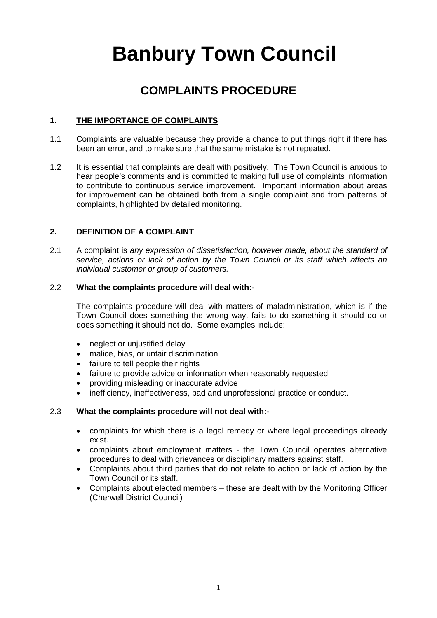# **Banbury Town Council**

# **COMPLAINTS PROCEDURE**

# **1. THE IMPORTANCE OF COMPLAINTS**

- 1.1 Complaints are valuable because they provide a chance to put things right if there has been an error, and to make sure that the same mistake is not repeated.
- 1.2 It is essential that complaints are dealt with positively. The Town Council is anxious to hear people's comments and is committed to making full use of complaints information to contribute to continuous service improvement. Important information about areas for improvement can be obtained both from a single complaint and from patterns of complaints, highlighted by detailed monitoring.

# **2. DEFINITION OF A COMPLAINT**

2.1 A complaint is *any expression of dissatisfaction, however made, about the standard of service, actions or lack of action by the Town Council or its staff which affects an individual customer or group of customers.*

# 2.2 **What the complaints procedure will deal with:-**

The complaints procedure will deal with matters of maladministration, which is if the Town Council does something the wrong way, fails to do something it should do or does something it should not do. Some examples include:

- neglect or unjustified delay
- malice, bias, or unfair discrimination
- failure to tell people their rights
- failure to provide advice or information when reasonably requested
- providing misleading or inaccurate advice
- inefficiency, ineffectiveness, bad and unprofessional practice or conduct.

# 2.3 **What the complaints procedure will not deal with:-**

- complaints for which there is a legal remedy or where legal proceedings already exist.
- complaints about employment matters the Town Council operates alternative procedures to deal with grievances or disciplinary matters against staff.
- Complaints about third parties that do not relate to action or lack of action by the Town Council or its staff.
- Complaints about elected members these are dealt with by the Monitoring Officer (Cherwell District Council)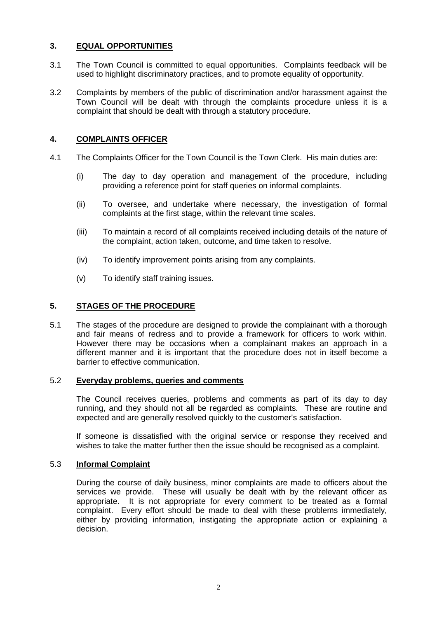# **3. EQUAL OPPORTUNITIES**

- 3.1 The Town Council is committed to equal opportunities. Complaints feedback will be used to highlight discriminatory practices, and to promote equality of opportunity.
- 3.2 Complaints by members of the public of discrimination and/or harassment against the Town Council will be dealt with through the complaints procedure unless it is a complaint that should be dealt with through a statutory procedure.

# **4. COMPLAINTS OFFICER**

- 4.1 The Complaints Officer for the Town Council is the Town Clerk. His main duties are:
	- (i) The day to day operation and management of the procedure, including providing a reference point for staff queries on informal complaints.
	- (ii) To oversee, and undertake where necessary, the investigation of formal complaints at the first stage, within the relevant time scales.
	- (iii) To maintain a record of all complaints received including details of the nature of the complaint, action taken, outcome, and time taken to resolve.
	- (iv) To identify improvement points arising from any complaints.
	- (v) To identify staff training issues.

#### **5. STAGES OF THE PROCEDURE**

5.1 The stages of the procedure are designed to provide the complainant with a thorough and fair means of redress and to provide a framework for officers to work within. However there may be occasions when a complainant makes an approach in a different manner and it is important that the procedure does not in itself become a barrier to effective communication.

#### 5.2 **Everyday problems, queries and comments**

The Council receives queries, problems and comments as part of its day to day running, and they should not all be regarded as complaints. These are routine and expected and are generally resolved quickly to the customer's satisfaction.

If someone is dissatisfied with the original service or response they received and wishes to take the matter further then the issue should be recognised as a complaint.

#### 5.3 **Informal Complaint**

During the course of daily business, minor complaints are made to officers about the services we provide. These will usually be dealt with by the relevant officer as appropriate. It is not appropriate for every comment to be treated as a formal complaint. Every effort should be made to deal with these problems immediately, either by providing information, instigating the appropriate action or explaining a decision.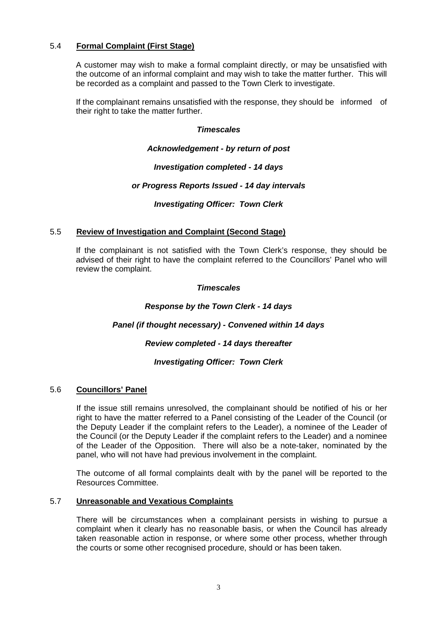# 5.4 **Formal Complaint (First Stage)**

A customer may wish to make a formal complaint directly, or may be unsatisfied with the outcome of an informal complaint and may wish to take the matter further. This will be recorded as a complaint and passed to the Town Clerk to investigate.

If the complainant remains unsatisfied with the response, they should be informed of their right to take the matter further.

#### *Timescales*

#### *Acknowledgement - by return of post*

#### *Investigation completed - 14 days*

#### *or Progress Reports Issued - 14 day intervals*

#### *Investigating Officer: Town Clerk*

#### 5.5 **Review of Investigation and Complaint (Second Stage)**

If the complainant is not satisfied with the Town Clerk's response, they should be advised of their right to have the complaint referred to the Councillors' Panel who will review the complaint.

#### *Timescales*

#### *Response by the Town Clerk - 14 days*

# *Panel (if thought necessary) - Convened within 14 days*

# *Review completed - 14 days thereafter*

# *Investigating Officer: Town Clerk*

# 5.6 **Councillors' Panel**

If the issue still remains unresolved, the complainant should be notified of his or her right to have the matter referred to a Panel consisting of the Leader of the Council (or the Deputy Leader if the complaint refers to the Leader), a nominee of the Leader of the Council (or the Deputy Leader if the complaint refers to the Leader) and a nominee of the Leader of the Opposition. There will also be a note-taker, nominated by the panel, who will not have had previous involvement in the complaint.

The outcome of all formal complaints dealt with by the panel will be reported to the Resources Committee.

#### 5.7 **Unreasonable and Vexatious Complaints**

There will be circumstances when a complainant persists in wishing to pursue a complaint when it clearly has no reasonable basis, or when the Council has already taken reasonable action in response, or where some other process, whether through the courts or some other recognised procedure, should or has been taken.